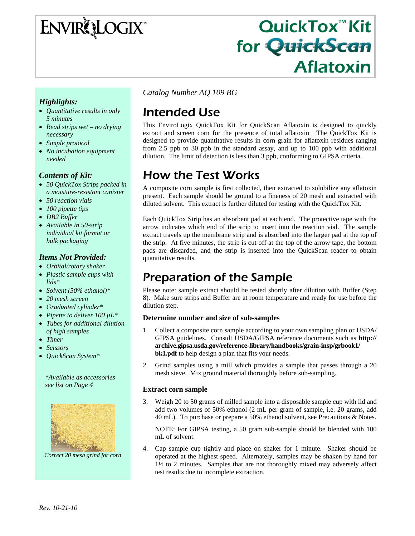# ENVIRQLOGIX

# QuickTox™ Kit for QuickScan Aflatoxin

#### *Highlights:*

- *Quantitative results in only 5 minutes*
- *Read strips wet no drying necessary*
- *Simple protocol*
- *No incubation equipment needed*

#### *Contents of Kit:*

- *50 QuickTox Strips packed in a moisture-resistant canister*
- *50 reaction vials*
- *100 pipette tips*
- *DB2 Buffer*
- *Available in 50-strip individual kit format or bulk packaging*

#### *Items Not Provided:*

- *Orbital/rotary shaker*
- *Plastic sample cups with lids\**
- *Solvent (50% ethanol)\**
- *20 mesh screen*
- *Graduated cylinder\**
- *Pipette to deliver 100 µL\**
- *Tubes for additional dilution of high samples*
- *Timer*
- *Scissors*
- *QuickScan System\**

*\*Available as accessories – see list on Page 4* 



*Correct 20 mesh grind for corn* 

*Catalog Number AQ 109 BG*

# Intended Use

This EnviroLogix QuickTox Kit for QuickScan Aflatoxin is designed to quickly extract and screen corn for the presence of total aflatoxin. The QuickTox Kit is designed to provide quantitative results in corn grain for aflatoxin residues ranging from 2.5 ppb to 30 ppb in the standard assay, and up to 100 ppb with additional dilution. The limit of detection is less than 3 ppb, conforming to GIPSA criteria.

# How the Test Works

A composite corn sample is first collected, then extracted to solubilize any aflatoxin present. Each sample should be ground to a fineness of 20 mesh and extracted with diluted solvent. This extract is further diluted for testing with the QuickTox Kit.

Each QuickTox Strip has an absorbent pad at each end. The protective tape with the arrow indicates which end of the strip to insert into the reaction vial. The sample extract travels up the membrane strip and is absorbed into the larger pad at the top of the strip. At five minutes, the strip is cut off at the top of the arrow tape, the bottom pads are discarded, and the strip is inserted into the QuickScan reader to obtain quantitative results.

# Preparation of the Sample

Please note: sample extract should be tested shortly after dilution with Buffer (Step 8). Make sure strips and Buffer are at room temperature and ready for use before the dilution step.

#### **Determine number and size of sub-samples**

- 1. Collect a composite corn sample according to your own sampling plan or USDA/ GIPSA guidelines. Consult USDA/GIPSA reference documents such as **http:// archive.gipsa.usda.gov/reference-library/handbooks/grain-insp/grbook1/ bk1.pdf** to help design a plan that fits your needs.
- 2. Grind samples using a mill which provides a sample that passes through a 20 mesh sieve. Mix ground material thoroughly before sub-sampling.

#### **Extract corn sample**

Weigh 20 to 50 grams of milled sample into a disposable sample cup with lid and add two volumes of 50% ethanol (2 mL per gram of sample, i.e. 20 grams, add 40 mL). To purchase or prepare a 50% ethanol solvent, see Precautions & Notes.

NOTE: For GIPSA testing, a 50 gram sub-sample should be blended with 100 mL of solvent.

4. Cap sample cup tightly and place on shaker for 1 minute. Shaker should be operated at the highest speed. Alternately, samples may be shaken by hand for 1½ to 2 minutes. Samples that are not thoroughly mixed may adversely affect test results due to incomplete extraction.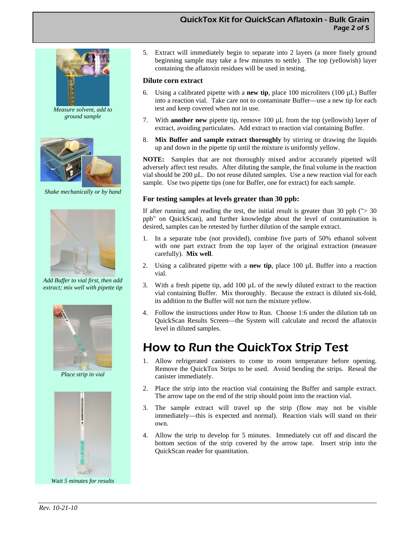#### QuickTox Kit for QuickScan Aflatoxin - Bulk Grain Page 2 of 5



*Measure solvent, add to ground sample* 



*Shake mechanically or by hand* 



*Add Buffer to vial first, then add extract; mix well with pipette tip* 



*Place strip in vial* 



*Wait 5 minutes for results* 

5. Extract will immediately begin to separate into 2 layers (a more finely ground beginning sample may take a few minutes to settle). The top (yellowish) layer containing the aflatoxin residues will be used in testing.

#### **Dilute corn extract**

- 6. Using a calibrated pipette with a **new tip**, place 100 microliters (100  $\mu$ L) Buffer into a reaction vial. Take care not to contaminate Buffer—use a new tip for each test and keep covered when not in use.
- 7. With **another new** pipette tip, remove 100 µL from the top (yellowish) layer of extract, avoiding particulates. Add extract to reaction vial containing Buffer.
- 8. **Mix Buffer and sample extract thoroughly** by stirring or drawing the liquids up and down in the pipette tip until the mixture is uniformly yellow.

**NOTE:** Samples that are not thoroughly mixed and/or accurately pipetted will adversely affect test results. After diluting the sample, the final volume in the reaction vial should be 200 µL. Do not reuse diluted samples. Use a new reaction vial for each sample. Use two pipette tips (one for Buffer, one for extract) for each sample.

#### **For testing samples at levels greater than 30 ppb:**

If after running and reading the test, the initial result is greater than 30 ppb  $('>30$ ppb" on QuickScan), and further knowledge about the level of contamination is desired, samples can be retested by further dilution of the sample extract.

- 1. In a separate tube (not provided), combine five parts of 50% ethanol solvent with one part extract from the top layer of the original extraction (measure carefully). **Mix well**.
- 2. Using a calibrated pipette with a **new tip**, place 100 µL Buffer into a reaction vial.
- 3. With a fresh pipette tip, add  $100 \mu L$  of the newly diluted extract to the reaction vial containing Buffer. Mix thoroughly. Because the extract is diluted six-fold, its addition to the Buffer will not turn the mixture yellow.
- 4. Follow the instructions under How to Run. Choose 1:6 under the dilution tab on QuickScan Results Screen—the System will calculate and record the aflatoxin level in diluted samples.

### How to Run the QuickTox Strip Test

- 1. Allow refrigerated canisters to come to room temperature before opening. Remove the QuickTox Strips to be used. Avoid bending the strips. Reseal the canister immediately.
- 2. Place the strip into the reaction vial containing the Buffer and sample extract. The arrow tape on the end of the strip should point into the reaction vial.
- 3. The sample extract will travel up the strip (flow may not be visible immediately—this is expected and normal). Reaction vials will stand on their own.
- 4. Allow the strip to develop for 5 minutes. Immediately cut off and discard the bottom section of the strip covered by the arrow tape. Insert strip into the QuickScan reader for quantitation.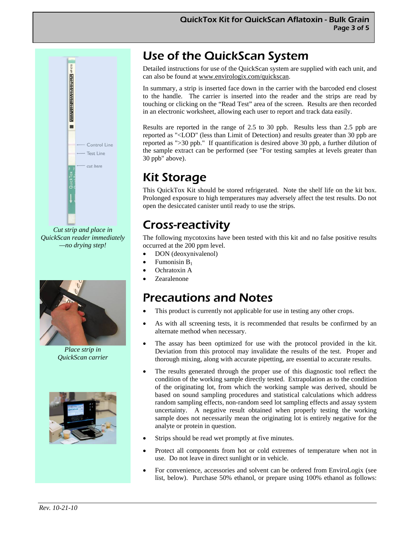

*Cut strip and place in QuickScan reader immediately —no drying step!* 



*Place strip in QuickScan carrier* 



# Use of the QuickScan System

Detailed instructions for use of the QuickScan system are supplied with each unit, and can also be found at www.envirologix.com/quickscan.

In summary, a strip is inserted face down in the carrier with the barcoded end closest to the handle. The carrier is inserted into the reader and the strips are read by touching or clicking on the "Read Test" area of the screen. Results are then recorded in an electronic worksheet, allowing each user to report and track data easily.

Results are reported in the range of 2.5 to 30 ppb. Results less than 2.5 ppb are reported as "<LOD" (less than Limit of Detection) and results greater than 30 ppb are reported as ">30 ppb." If quantification is desired above 30 ppb, a further dilution of the sample extract can be performed (see "For testing samples at levels greater than 30 ppb" above).

## Kit Storage

This QuickTox Kit should be stored refrigerated. Note the shelf life on the kit box. Prolonged exposure to high temperatures may adversely affect the test results. Do not open the desiccated canister until ready to use the strips.

## Cross-reactivity

The following mycotoxins have been tested with this kit and no false positive results occurred at the 200 ppm level.

- DON (deoxynivalenol)
- Fumonisin  $B_1$
- Ochratoxin A
- Zearalenone

## Precautions and Notes

- This product is currently not applicable for use in testing any other crops.
- As with all screening tests, it is recommended that results be confirmed by an alternate method when necessary.
- The assay has been optimized for use with the protocol provided in the kit. Deviation from this protocol may invalidate the results of the test. Proper and thorough mixing, along with accurate pipetting, are essential to accurate results.
- The results generated through the proper use of this diagnostic tool reflect the condition of the working sample directly tested. Extrapolation as to the condition of the originating lot, from which the working sample was derived, should be based on sound sampling procedures and statistical calculations which address random sampling effects, non-random seed lot sampling effects and assay system uncertainty. A negative result obtained when properly testing the working sample does not necessarily mean the originating lot is entirely negative for the analyte or protein in question.
- Strips should be read wet promptly at five minutes.
- Protect all components from hot or cold extremes of temperature when not in use. Do not leave in direct sunlight or in vehicle.
- For convenience, accessories and solvent can be ordered from EnviroLogix (see list, below). Purchase 50% ethanol, or prepare using 100% ethanol as follows: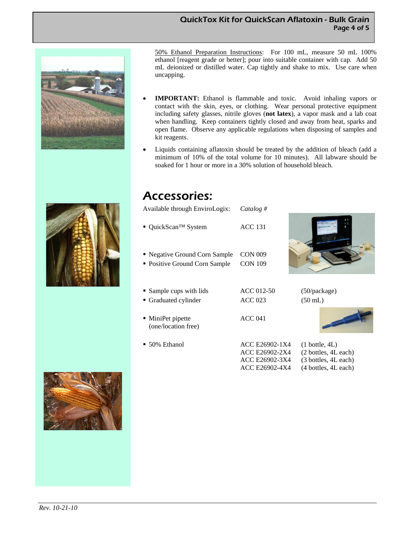#### QuickTox Kit for QuickScan Aflatoxin - Bulk Grain Page 4 of 5



50% Ethanol Preparation Instructions: For 100 mL, measure 50 mL 100% ethanol [reagent grade or better]; pour into suitable container with cap. Add 50 mL deionized or distilled water. Cap tightly and shake to mix. Use care when uncapping.

- **IMPORTANT:** Ethanol is flammable and toxic. Avoid inhaling vapors or contact with the skin, eyes, or clothing. Wear personal protective equipment including safety glasses, nitrile gloves (**not latex**), a vapor mask and a lab coat when handling. Keep containers tightly closed and away from heat, sparks and open flame. Observe any applicable regulations when disposing of samples and kit reagents.
- Liquids containing aflatoxin should be treated by the addition of bleach (add a minimum of 10% of the total volume for 10 minutes). All labware should be soaked for 1 hour or more in a 30% solution of household bleach.

### Accessories:

| Available through EnviroLogix:                                 | Catalog #                                                            |                                                                                                  |
|----------------------------------------------------------------|----------------------------------------------------------------------|--------------------------------------------------------------------------------------------------|
| $\blacksquare$ QuickScan <sup>TM</sup> System                  | <b>ACC 131</b>                                                       |                                                                                                  |
| • Negative Ground Corn Sample<br>• Positive Ground Corn Sample | <b>CON 009</b><br><b>CON 109</b>                                     |                                                                                                  |
| • Sample cups with lids<br>• Graduated cylinder                | ACC 012-50<br><b>ACC 023</b>                                         | (50/package)<br>$(50 \text{ mL})$                                                                |
| • MiniPet pipette<br>(one/location free)                       | ACC <sub>041</sub>                                                   |                                                                                                  |
| $\blacksquare$ 50% Ethanol                                     | ACC E26902-1X4<br>ACC E26902-2X4<br>ACC E26902-3X4<br>ACC E26902-4X4 | $(1 \text{ bottle}, 4L)$<br>(2 bottles, 4L each)<br>(3 bottles, 4L each)<br>(4 bottles, 4L each) |